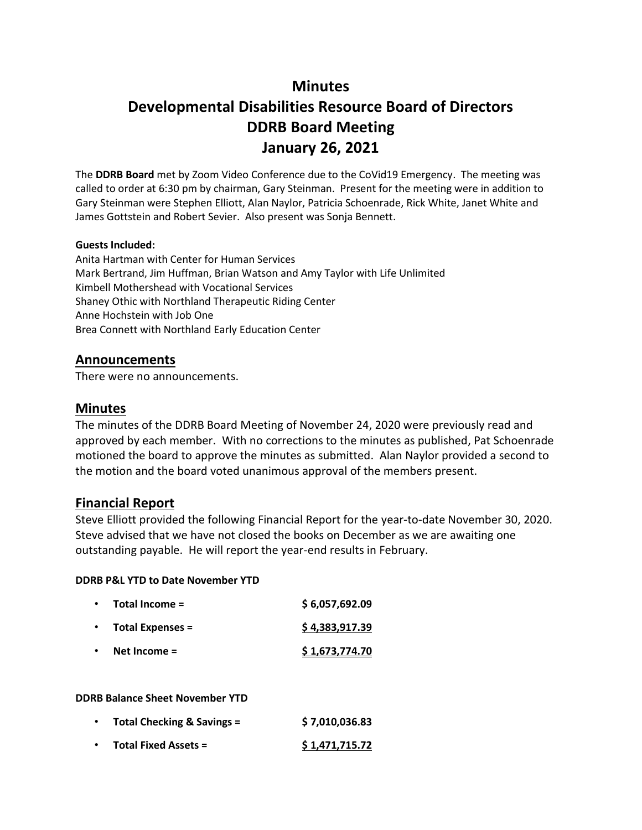## **Minutes**

# **Developmental Disabilities Resource Board of Directors DDRB Board Meeting January 26, 2021**

The **DDRB Board** met by Zoom Video Conference due to the CoVid19 Emergency. The meeting was called to order at 6:30 pm by chairman, Gary Steinman. Present for the meeting were in addition to Gary Steinman were Stephen Elliott, Alan Naylor, Patricia Schoenrade, Rick White, Janet White and James Gottstein and Robert Sevier. Also present was Sonja Bennett.

#### **Guests Included:**

Anita Hartman with Center for Human Services Mark Bertrand, Jim Huffman, Brian Watson and Amy Taylor with Life Unlimited Kimbell Mothershead with Vocational Services Shaney Othic with Northland Therapeutic Riding Center Anne Hochstein with Job One Brea Connett with Northland Early Education Center

### **Announcements**

There were no announcements.

### **Minutes**

The minutes of the DDRB Board Meeting of November 24, 2020 were previously read and approved by each member. With no corrections to the minutes as published, Pat Schoenrade motioned the board to approve the minutes as submitted. Alan Naylor provided a second to the motion and the board voted unanimous approval of the members present.

### **Financial Report**

Steve Elliott provided the following Financial Report for the year-to-date November 30, 2020. Steve advised that we have not closed the books on December as we are awaiting one outstanding payable. He will report the year-end results in February.

### **DDRB P&L YTD to Date November YTD**

| Total Income =          | \$6,057,692.09 |
|-------------------------|----------------|
| <b>Total Expenses =</b> | \$4,383,917.39 |
| Net Income $=$          | \$1,673,774.70 |

### **DDRB Balance Sheet November YTD**

| ٠ | Total Checking & Savings =  | \$7,010,036.83 |
|---|-----------------------------|----------------|
|   | <b>Total Fixed Assets =</b> | \$1,471,715.72 |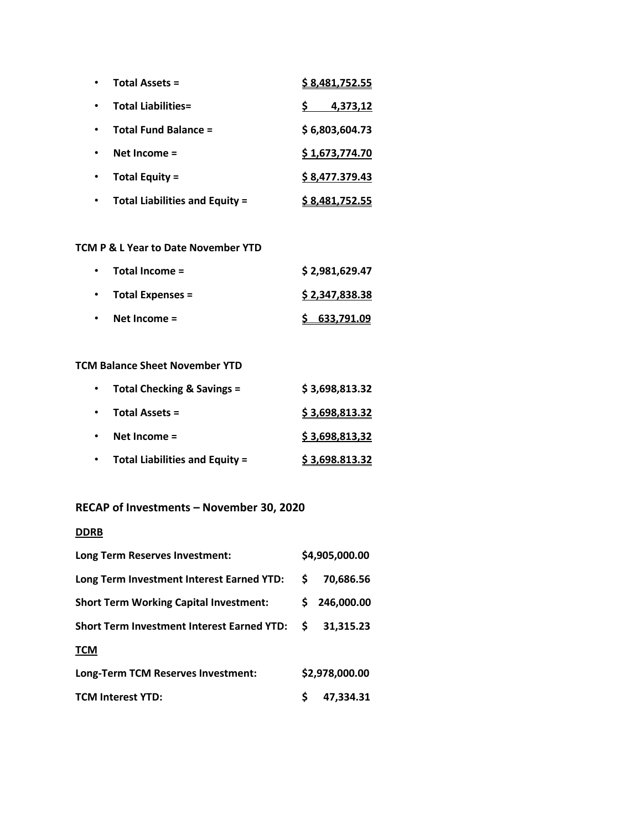| <b>Total Assets =</b>                 | \$8,481,752.55 |
|---------------------------------------|----------------|
| <b>Total Liabilities=</b>             | 4,373,12       |
| Total Fund Balance =                  | \$6,803,604.73 |
| Net Income $=$                        | \$1,673,774.70 |
| <b>Total Equity =</b>                 | \$8,477.379.43 |
| <b>Total Liabilities and Equity =</b> | \$8,481,752.55 |

### **TCM P & L Year to Date November YTD**

|           | $\cdot$ Total Income =   | \$2,981,629.47 |
|-----------|--------------------------|----------------|
|           | $\cdot$ Total Expenses = | \$2,347,838.38 |
| $\bullet$ | Net Income $=$           | \$633,791.09   |

### **TCM Balance Sheet November YTD**

|           | Total Checking & Savings =            | \$3,698,813.32 |
|-----------|---------------------------------------|----------------|
| $\bullet$ | <b>Total Assets =</b>                 | \$3,698,813.32 |
|           | Net Income $=$                        | \$3,698,813,32 |
|           | <b>Total Liabilities and Equity =</b> | \$3,698.813.32 |

## **RECAP of Investments – November 30, 2020**

### **DDRB**

| Long Term Reserves Investment:                    |    | \$4,905,000.00 |
|---------------------------------------------------|----|----------------|
| Long Term Investment Interest Earned YTD:         | S. | 70,686.56      |
| <b>Short Term Working Capital Investment:</b>     | S. | 246,000.00     |
| <b>Short Term Investment Interest Earned YTD:</b> | S. | 31.315.23      |
| <b>TCM</b>                                        |    |                |
| Long-Term TCM Reserves Investment:                |    | \$2,978,000.00 |
| <b>TCM Interest YTD:</b>                          |    | 47,334.31      |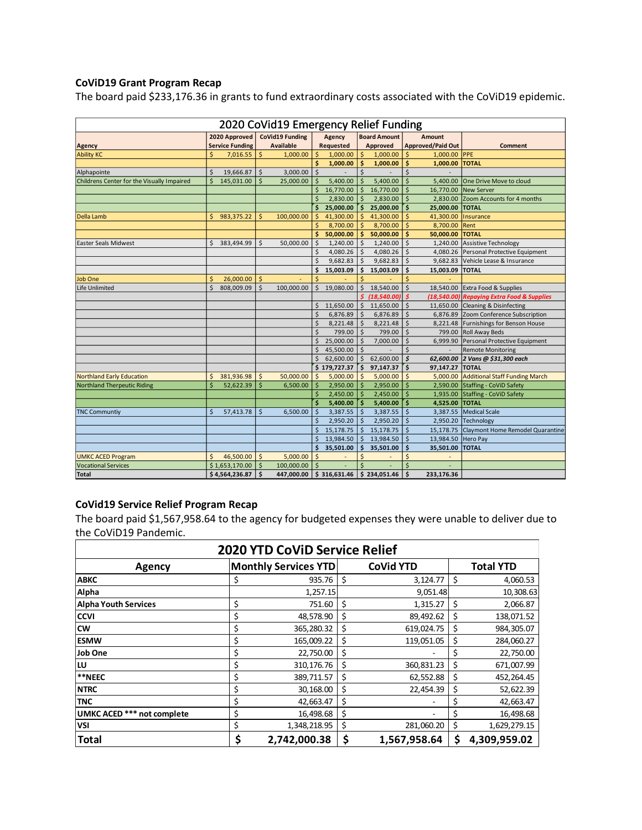### **CoViD19 Grant Program Recap**

The board paid \$233,176.36 in grants to fund extraordinary costs associated with the CoViD19 epidemic.

| 2020 CoVid19 Emergency Relief Funding                                                     |                    |                        |                    |                  |                    |              |                    |              |                          |                 |                                            |  |
|-------------------------------------------------------------------------------------------|--------------------|------------------------|--------------------|------------------|--------------------|--------------|--------------------|--------------|--------------------------|-----------------|--------------------------------------------|--|
| <b>CoVid19 Funding</b><br>2020 Approved<br>Agency<br><b>Board Amount</b><br><b>Amount</b> |                    |                        |                    |                  |                    |              |                    |              |                          |                 |                                            |  |
| <b>Agency</b>                                                                             |                    | <b>Service Funding</b> |                    | <b>Available</b> |                    | Requested    |                    | Approved     | <b>Approved/Paid Out</b> |                 | Comment                                    |  |
| <b>Ability KC</b>                                                                         | \$                 | 7,016.55               | $\zeta$            | 1,000.00         | $\zeta$            | 1,000.00     | \$                 | 1,000.00     | \$                       | 1,000.00        | PPE                                        |  |
|                                                                                           |                    |                        |                    |                  | \$                 | 1,000.00     | <b>S</b>           | 1,000.00     | \$                       | 1,000.00        | <b>TOTAL</b>                               |  |
| Alphapointe                                                                               | \$                 | 19,666.87              | \$                 | 3,000.00         | \$                 |              | \$                 |              | Ś                        |                 |                                            |  |
| Childrens Center for the Visually Impaired                                                | $\mathsf{\hat{S}}$ | 145,031.00             | $\mathsf{\hat{S}}$ | 25,000.00        | Ś                  | 5,400.00     | $\mathsf{\hat{S}}$ | 5,400.00     | Ś                        | 5,400.00        | One Drive Move to cloud                    |  |
|                                                                                           |                    |                        |                    |                  | \$                 | 16,770.00    | \$                 | 16,770.00    | \$                       | 16,770.00       | New Server                                 |  |
|                                                                                           |                    |                        |                    |                  | \$                 | 2,830.00     | \$                 | 2,830.00     | \$                       | 2,830.00        | Zoom Accounts for 4 months                 |  |
|                                                                                           |                    |                        |                    |                  | Ś.                 | 25,000.00    | Ŝ.                 | 25,000.00    | \$                       | 25.000.00       | <b>TOTAL</b>                               |  |
| Della Lamb                                                                                |                    | \$983,375.22           | \$                 | 100,000.00       | \$                 | 41,300.00    | Ŝ.                 | 41,300.00    | Ś                        | 41,300.00       | Insurance                                  |  |
|                                                                                           |                    |                        |                    |                  | $\mathsf{\hat{S}}$ | 8,700.00     | -Ś                 | 8,700.00     | <sup>\$</sup>            | 8,700.00        | Rent                                       |  |
|                                                                                           |                    |                        |                    |                  | \$                 | 50,000.00    | ŝ                  | 50,000.00    | Ŝ                        | 50,000.00       | <b>TOTAL</b>                               |  |
| Easter Seals Midwest                                                                      | $\mathsf{\hat{S}}$ | 383,494.99             | \$                 | 50,000.00        | \$                 | 1,240.00     | Ŝ.                 | 1,240.00     | Ś                        | 1,240.00        | Assistive Technology                       |  |
|                                                                                           |                    |                        |                    |                  | \$                 | 4,080.26     | $\dot{\mathsf{s}}$ | 4,080.26     | \$                       | 4.080.26        | Personal Protective Equipment              |  |
|                                                                                           |                    |                        |                    |                  | \$                 | 9,682.83     | $\mathsf{\hat{S}}$ | 9,682.83     | \$                       |                 | 9,682.83 Vehicle Lease & Insurance         |  |
|                                                                                           |                    |                        |                    |                  | \$                 | 15,003.09    | \$                 | 15,003.09    | \$                       | 15,003.09 TOTAL |                                            |  |
| <b>Job One</b>                                                                            | \$                 | 26,000.00              | \$                 | ÷,               | $\mathsf{\hat{S}}$ |              | Ś                  |              | Ś                        |                 |                                            |  |
| Life Unlimited                                                                            | $\zeta$            | 808,009.09             | \$                 | 100,000.00       | \$                 | 19,080.00    | \$                 | 18,540.00    | \$                       |                 | 18,540.00 Extra Food & Supplies            |  |
|                                                                                           |                    |                        |                    |                  |                    |              | \$.                | (18,540.00)  | Ŝ                        |                 | (18,540.00) Repaying Extra Food & Supplies |  |
|                                                                                           |                    |                        |                    |                  | \$                 | 11,650.00    | \$                 | 11,650.00    | \$                       |                 | 11,650.00 Cleaning & Disinfecting          |  |
|                                                                                           |                    |                        |                    |                  | $\mathsf{\hat{S}}$ | 6,876.89     | <sup>\$</sup>      | 6,876.89     | \$                       | 6,876.89        | Zoom Conference Subscription               |  |
|                                                                                           |                    |                        |                    |                  | \$                 | 8,221.48     | -\$                | 8,221.48     | \$                       |                 | 8,221.48 Furnishings for Benson House      |  |
|                                                                                           |                    |                        |                    |                  | \$                 | 799.00       | Ŝ.                 | 799.00       | \$                       | 799.00          | <b>Roll Away Beds</b>                      |  |
|                                                                                           |                    |                        |                    |                  | $\mathsf{\hat{S}}$ | 25,000.00    | Ŝ.                 | 7,000.00     | \$                       |                 | 6,999.90 Personal Protective Equipment     |  |
|                                                                                           |                    |                        |                    |                  | $\mathsf{\hat{S}}$ | 45,500.00    | <sup>\$</sup>      |              | Ś                        |                 | <b>Remote Monitoring</b>                   |  |
|                                                                                           |                    |                        |                    |                  | $\mathsf{\hat{S}}$ | 62,600.00    | Ŝ.                 | 62,600.00    | \$                       |                 | 62,600.00 2 Vans @ \$31,300 each           |  |
|                                                                                           |                    |                        |                    |                  |                    | \$179,727.37 | \$                 | 97,147.37    | \$                       | 97,147.27 TOTAL |                                            |  |
| <b>Northland Early Education</b>                                                          | \$                 | 381,936.98             | $\mathsf{\hat{S}}$ | 50,000.00        | Ś                  | 5,000.00     | <sub>S</sub>       | 5,000.00     | <sup>5</sup>             | 5,000.00        | <b>Additional Staff Funding March</b>      |  |
| <b>Northland Therpeutic Riding</b>                                                        | $\dot{\mathsf{S}}$ | 52,622.39              | Ś                  | 6,500.00         | $\ddot{s}$         | 2,950.00     | $\mathsf{\hat{S}}$ | 2,950.00     | Ŝ                        | 2,590.00        | Staffing - CoViD Safety                    |  |
|                                                                                           |                    |                        |                    |                  | \$                 | 2,450.00     | -\$                | 2,450.00     | \$                       | 1,935.00        | Staffing - CoViD Safety                    |  |
|                                                                                           |                    |                        |                    |                  | Ś                  | 5,400.00     | -S                 | 5,400.00     | \$                       | 4,525.00        | <b>TOTAL</b>                               |  |
| <b>TNC Communtiy</b>                                                                      | \$                 | 57,413.78              | Ŝ.                 | 6,500.00         | \$                 | 3,387.55     | Ŝ.                 | 3,387.55     | \$                       | 3,387.55        | <b>Medical Scale</b>                       |  |
|                                                                                           |                    |                        |                    |                  | \$                 | 2,950.20     | -Ś                 | 2,950.20     | S.                       |                 | 2,950.20 Technology                        |  |
|                                                                                           |                    |                        |                    |                  | \$                 | 15,178.75    | \$                 | 15,178.75    | \$                       | 15,178.75       | Claymont Home Remodel Quarantine           |  |
|                                                                                           |                    |                        |                    |                  | \$                 | 13,984.50    | \$                 | 13,984.50    | \$                       | 13,984.50       | <b>Hero Pay</b>                            |  |
|                                                                                           |                    |                        |                    |                  | \$                 | 35,501.00    | Ś                  | 35,501.00    | Ś                        | 35,501.00 TOTAL |                                            |  |
| <b>UMKC ACED Program</b>                                                                  | \$                 | 46,500.00              | \$                 | 5,000.00         | \$                 |              | \$                 |              | \$                       |                 |                                            |  |
| <b>Vocational Services</b>                                                                |                    | \$1,653,170.00         | \$                 | 100,000.00       | \$                 |              | Ś                  |              | Ś                        |                 |                                            |  |
| <b>Total</b>                                                                              |                    | \$4,564,236.87         | \$                 | 447,000.00       |                    | \$316,631.46 |                    | \$234,051.46 | Ś.                       | 233,176.36      |                                            |  |
|                                                                                           |                    |                        |                    |                  |                    |              |                    |              |                          |                 |                                            |  |

### **CoVid19 Service Relief Program Recap**

The board paid \$1,567,958.64 to the agency for budgeted expenses they were unable to deliver due to the CoViD19 Pandemic.

| <b>2020 YTD CoViD Service Relief</b> |    |                             |    |                  |    |                  |  |  |  |
|--------------------------------------|----|-----------------------------|----|------------------|----|------------------|--|--|--|
| Agency                               |    | <b>Monthly Services YTD</b> |    | <b>CoVid YTD</b> |    | <b>Total YTD</b> |  |  |  |
| <b>ABKC</b>                          | \$ | 935.76                      | \$ | 3,124.77         | \$ | 4,060.53         |  |  |  |
| Alpha                                |    | 1,257.15                    |    | 9,051.48         |    | 10,308.63        |  |  |  |
| <b>Alpha Youth Services</b>          | \$ | 751.60                      | \$ | 1,315.27         | \$ | 2,066.87         |  |  |  |
| <b>CCVI</b>                          | \$ | 48,578.90                   | \$ | 89,492.62        | \$ | 138,071.52       |  |  |  |
| <b>CW</b>                            | \$ | 365,280.32                  | \$ | 619,024.75       | \$ | 984,305.07       |  |  |  |
| <b>ESMW</b>                          | \$ | 165,009.22                  | \$ | 119,051.05       | \$ | 284,060.27       |  |  |  |
| <b>Job One</b>                       | \$ | 22,750.00                   | \$ |                  | \$ | 22,750.00        |  |  |  |
| ΙU                                   | \$ | 310, 176.76                 | \$ | 360,831.23       | Ś  | 671,007.99       |  |  |  |
| **NEEC                               | \$ | 389,711.57                  | \$ | 62,552.88        | \$ | 452,264.45       |  |  |  |
| <b>NTRC</b>                          | \$ | 30,168.00                   | \$ | 22,454.39        | \$ | 52,622.39        |  |  |  |
| <b>TNC</b>                           | \$ | 42,663.47                   | \$ |                  | \$ | 42,663.47        |  |  |  |
| UMKC ACED *** not complete           | \$ | 16,498.68                   | \$ |                  | \$ | 16,498.68        |  |  |  |
| <b>VSI</b>                           | \$ | 1,348,218.95                | \$ | 281,060.20       | \$ | 1,629,279.15     |  |  |  |
| <b>Total</b>                         | \$ | 2,742,000.38                | \$ | 1,567,958.64     | S  | 4,309,959.02     |  |  |  |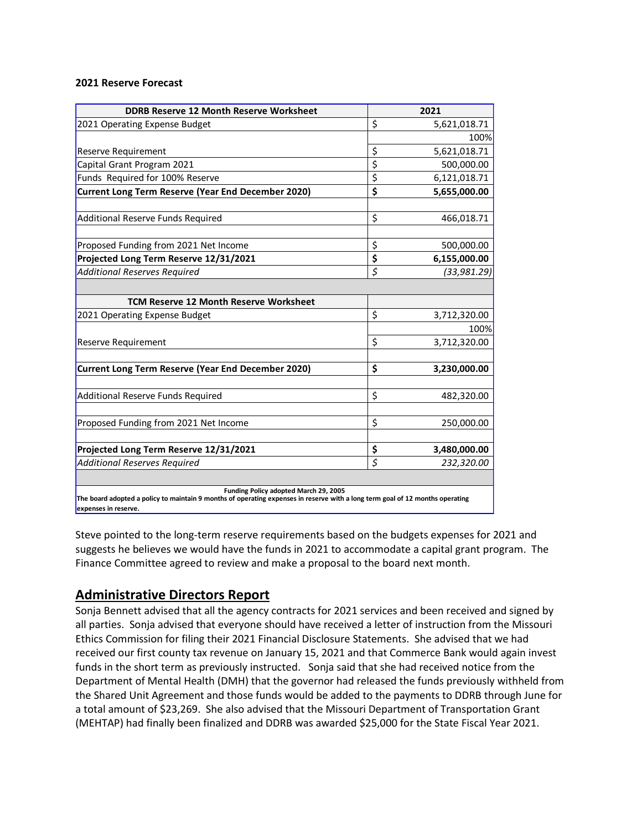#### **2021 Reserve Forecast**

| <b>DDRB Reserve 12 Month Reserve Worksheet</b>                                                                                                                                                 | 2021               |
|------------------------------------------------------------------------------------------------------------------------------------------------------------------------------------------------|--------------------|
| 2021 Operating Expense Budget                                                                                                                                                                  | \$<br>5,621,018.71 |
|                                                                                                                                                                                                | 100%               |
| <b>Reserve Requirement</b>                                                                                                                                                                     | \$<br>5,621,018.71 |
| Capital Grant Program 2021                                                                                                                                                                     | \$<br>500,000.00   |
| Funds Required for 100% Reserve                                                                                                                                                                | \$<br>6,121,018.71 |
| Current Long Term Reserve (Year End December 2020)                                                                                                                                             | \$<br>5,655,000.00 |
| <b>Additional Reserve Funds Required</b>                                                                                                                                                       | \$<br>466,018.71   |
| Proposed Funding from 2021 Net Income                                                                                                                                                          | \$<br>500,000.00   |
| Projected Long Term Reserve 12/31/2021                                                                                                                                                         | \$<br>6,155,000.00 |
| <b>Additional Reserves Required</b>                                                                                                                                                            | \$<br>(33,981.29)  |
|                                                                                                                                                                                                |                    |
| <b>TCM Reserve 12 Month Reserve Worksheet</b>                                                                                                                                                  |                    |
| 2021 Operating Expense Budget                                                                                                                                                                  | \$<br>3,712,320.00 |
|                                                                                                                                                                                                | 100%               |
| <b>Reserve Requirement</b>                                                                                                                                                                     | \$<br>3,712,320.00 |
| Current Long Term Reserve (Year End December 2020)                                                                                                                                             | \$<br>3,230,000.00 |
| <b>Additional Reserve Funds Required</b>                                                                                                                                                       | \$<br>482,320.00   |
| Proposed Funding from 2021 Net Income                                                                                                                                                          | \$<br>250,000.00   |
| Projected Long Term Reserve 12/31/2021                                                                                                                                                         | \$<br>3,480,000.00 |
| <b>Additional Reserves Required</b>                                                                                                                                                            | \$<br>232,320.00   |
| Funding Policy adopted March 29, 2005<br>The board adopted a policy to maintain 9 months of operating expenses in reserve with a long term goal of 12 months operating<br>expenses in reserve. |                    |

Steve pointed to the long-term reserve requirements based on the budgets expenses for 2021 and suggests he believes we would have the funds in 2021 to accommodate a capital grant program. The Finance Committee agreed to review and make a proposal to the board next month.

### **Administrative Directors Report**

Sonja Bennett advised that all the agency contracts for 2021 services and been received and signed by all parties. Sonja advised that everyone should have received a letter of instruction from the Missouri Ethics Commission for filing their 2021 Financial Disclosure Statements. She advised that we had received our first county tax revenue on January 15, 2021 and that Commerce Bank would again invest funds in the short term as previously instructed. Sonja said that she had received notice from the Department of Mental Health (DMH) that the governor had released the funds previously withheld from the Shared Unit Agreement and those funds would be added to the payments to DDRB through June for a total amount of \$23,269. She also advised that the Missouri Department of Transportation Grant (MEHTAP) had finally been finalized and DDRB was awarded \$25,000 for the State Fiscal Year 2021.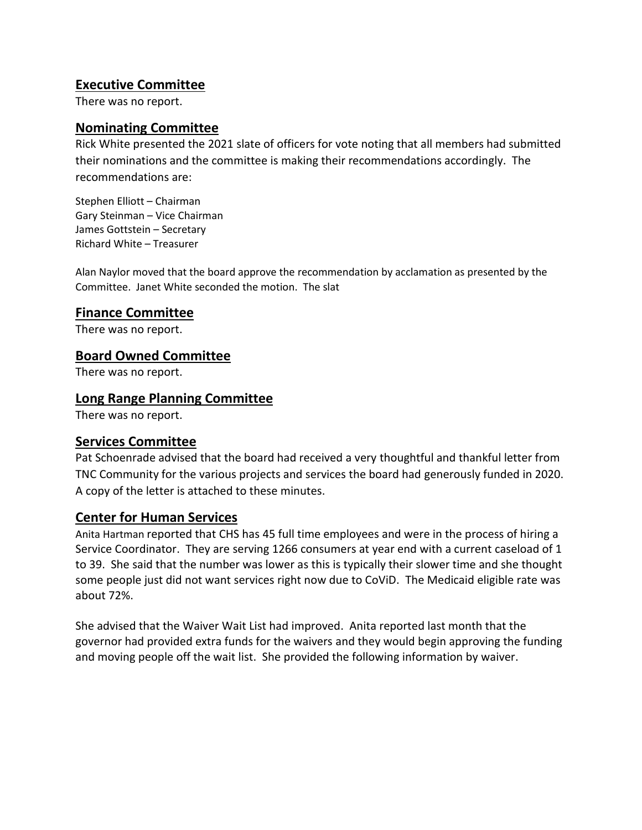## **Executive Committee**

There was no report.

## **Nominating Committee**

Rick White presented the 2021 slate of officers for vote noting that all members had submitted their nominations and the committee is making their recommendations accordingly. The recommendations are:

Stephen Elliott – Chairman Gary Steinman – Vice Chairman James Gottstein – Secretary Richard White – Treasurer

Alan Naylor moved that the board approve the recommendation by acclamation as presented by the Committee. Janet White seconded the motion. The slat

## **Finance Committee**

There was no report.

## **Board Owned Committee**

There was no report.

## **Long Range Planning Committee**

There was no report.

## **Services Committee**

Pat Schoenrade advised that the board had received a very thoughtful and thankful letter from TNC Community for the various projects and services the board had generously funded in 2020. A copy of the letter is attached to these minutes.

## **Center for Human Services**

Anita Hartman reported that CHS has 45 full time employees and were in the process of hiring a Service Coordinator. They are serving 1266 consumers at year end with a current caseload of 1 to 39. She said that the number was lower as this is typically their slower time and she thought some people just did not want services right now due to CoViD. The Medicaid eligible rate was about 72%.

She advised that the Waiver Wait List had improved. Anita reported last month that the governor had provided extra funds for the waivers and they would begin approving the funding and moving people off the wait list. She provided the following information by waiver.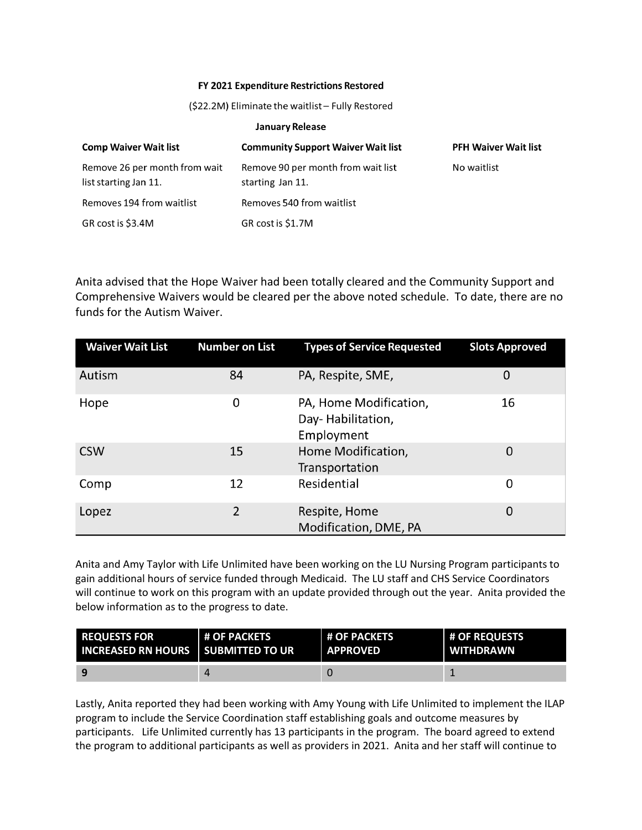#### FY 2021 Expenditure Restrictions Restored

(\$22.2M) Eliminate the waitlist - Fully Restored

#### **January Release**

| <b>Comp Waiver Wait list</b>                           | <b>Community Support Waiver Wait list</b>              | <b>PFH Waiver Wait list</b> |
|--------------------------------------------------------|--------------------------------------------------------|-----------------------------|
| Remove 26 per month from wait<br>list starting Jan 11. | Remove 90 per month from wait list<br>starting Jan 11. | No waitlist                 |
| Removes 194 from waitlist                              | Removes 540 from waitlist                              |                             |
| GR cost is \$3.4M                                      | GR cost is \$1.7M                                      |                             |

Anita advised that the Hope Waiver had been totally cleared and the Community Support and Comprehensive Waivers would be cleared per the above noted schedule. To date, there are no funds for the Autism Waiver.

| <b>Waiver Wait List</b> | <b>Number on List</b> | <b>Types of Service Requested</b>                         | <b>Slots Approved</b> |
|-------------------------|-----------------------|-----------------------------------------------------------|-----------------------|
| Autism                  | 84                    | PA, Respite, SME,                                         | 0                     |
| Hope                    | 0                     | PA, Home Modification,<br>Day-Habilitation,<br>Employment | 16                    |
| <b>CSW</b>              | 15                    | Home Modification,<br>Transportation                      | 0                     |
| Comp                    | 12                    | Residential                                               | 0                     |
| Lopez                   | 2                     | Respite, Home<br>Modification, DME, PA                    | 0                     |

Anita and Amy Taylor with Life Unlimited have been working on the LU Nursing Program participants to gain additional hours of service funded through Medicaid. The LU staff and CHS Service Coordinators will continue to work on this program with an update provided through out the year. Anita provided the below information as to the progress to date.

| <b>REQUESTS FOR</b>                         | <b>L# OF PACKETS</b> | <b>H OF PACKETS</b> | <b># OF REQUESTS</b> |
|---------------------------------------------|----------------------|---------------------|----------------------|
| <b>INCREASED RN HOURS I SUBMITTED TO UR</b> |                      | <b>APPROVED</b>     | <b>WITHDRAWN</b>     |
| 9                                           |                      |                     |                      |

Lastly, Anita reported they had been working with Amy Young with Life Unlimited to implement the ILAP program to include the Service Coordination staff establishing goals and outcome measures by participants. Life Unlimited currently has 13 participants in the program. The board agreed to extend the program to additional participants as well as providers in 2021. Anita and her staff will continue to